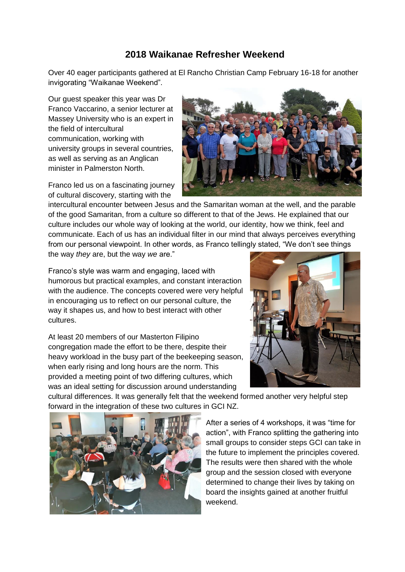## **2018 Waikanae Refresher Weekend**

Over 40 eager participants gathered at El Rancho Christian Camp February 16-18 for another invigorating "Waikanae Weekend".

Our guest speaker this year was Dr Franco Vaccarino, a senior lecturer at Massey University who is an expert in the field of intercultural communication, working with university groups in several countries, as well as serving as an Anglican minister in Palmerston North.

Franco led us on a fascinating journey of cultural discovery, starting with the



intercultural encounter between Jesus and the Samaritan woman at the well, and the parable of the good Samaritan, from a culture so different to that of the Jews. He explained that our culture includes our whole way of looking at the world, our identity, how we think, feel and communicate. Each of us has an individual filter in our mind that always perceives everything from our personal viewpoint. In other words, as Franco tellingly stated, "We don't see things the way *they* are, but the way *we* are."

Franco's style was warm and engaging, laced with humorous but practical examples, and constant interaction with the audience. The concepts covered were very helpful in encouraging us to reflect on our personal culture, the way it shapes us, and how to best interact with other cultures.

At least 20 members of our Masterton Filipino congregation made the effort to be there, despite their heavy workload in the busy part of the beekeeping season, when early rising and long hours are the norm. This provided a meeting point of two differing cultures, which was an ideal setting for discussion around understanding



cultural differences. It was generally felt that the weekend formed another very helpful step forward in the integration of these two cultures in GCI NZ.



After a series of 4 workshops, it was "time for action", with Franco splitting the gathering into small groups to consider steps GCI can take in the future to implement the principles covered. The results were then shared with the whole group and the session closed with everyone determined to change their lives by taking on board the insights gained at another fruitful weekend.